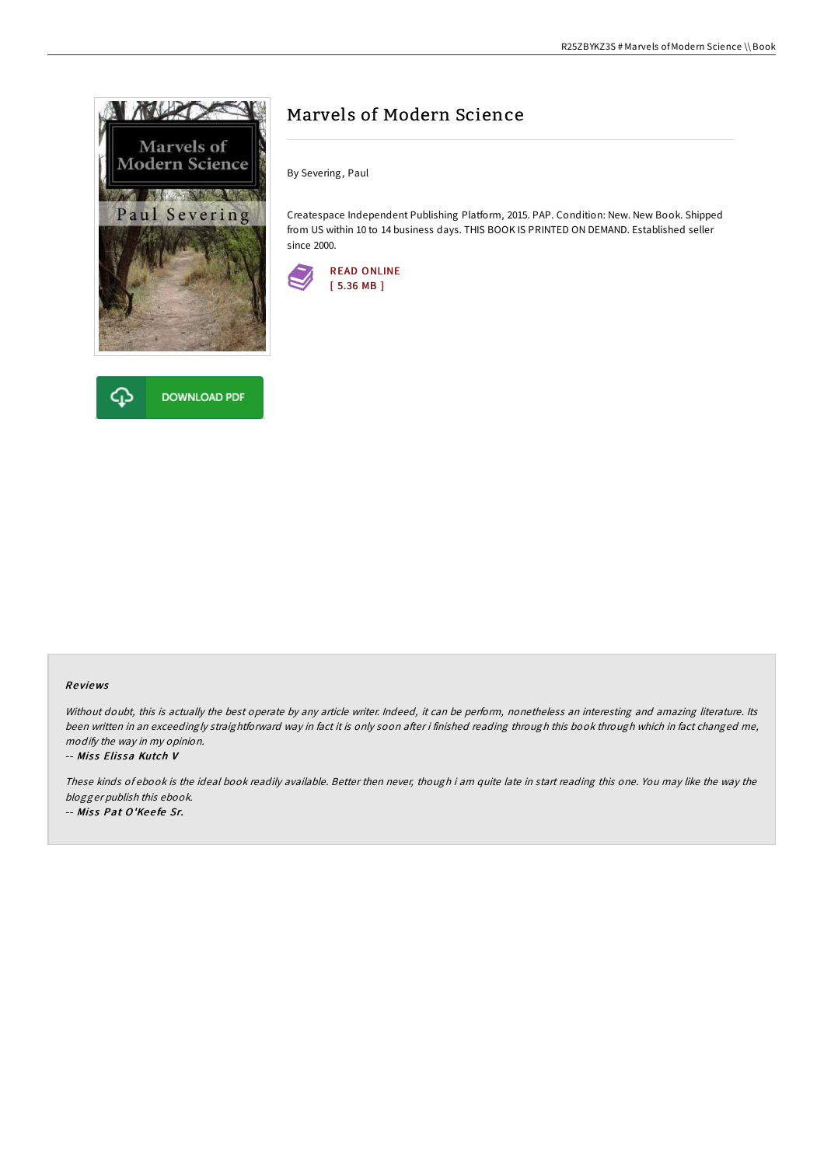



# Marvels of Modern Science

By Severing, Paul

Createspace Independent Publishing Platform, 2015. PAP. Condition: New. New Book. Shipped from US within 10 to 14 business days. THIS BOOK IS PRINTED ON DEMAND. Established seller since 2000.



### Re views

Without doubt, this is actually the best operate by any article writer. Indeed, it can be perform, nonetheless an interesting and amazing literature. Its been written in an exceedingly straightforward way in fact it is only soon after i finished reading through this book through which in fact changed me, modify the way in my opinion.

#### -- Miss Elissa Kutch V

These kinds of ebook is the ideal book readily available. Better then never, though i am quite late in start reading this one. You may like the way the blogger publish this ebook.

-- Miss Pat O'Keefe Sr.